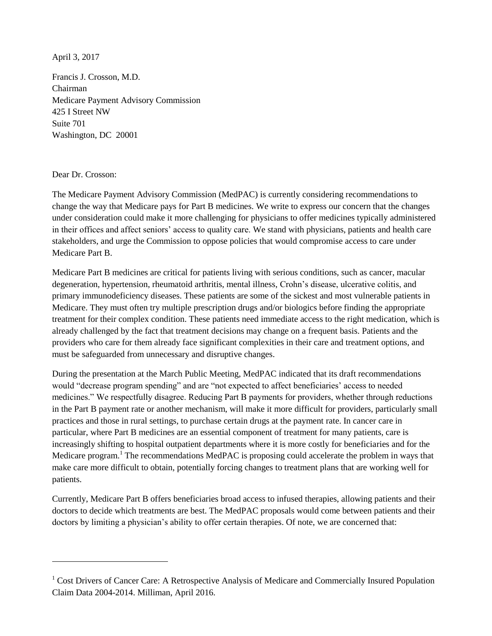April 3, 2017

Francis J. Crosson, M.D. Chairman Medicare Payment Advisory Commission 425 I Street NW Suite 701 Washington, DC 20001

Dear Dr. Crosson:

 $\overline{a}$ 

The Medicare Payment Advisory Commission (MedPAC) is currently considering recommendations to change the way that Medicare pays for Part B medicines. We write to express our concern that the changes under consideration could make it more challenging for physicians to offer medicines typically administered in their offices and affect seniors' access to quality care. We stand with physicians, patients and health care stakeholders, and urge the Commission to oppose policies that would compromise access to care under Medicare Part B.

Medicare Part B medicines are critical for patients living with serious conditions, such as cancer, macular degeneration, hypertension, rheumatoid arthritis, mental illness, Crohn's disease, ulcerative colitis, and primary immunodeficiency diseases. These patients are some of the sickest and most vulnerable patients in Medicare. They must often try multiple prescription drugs and/or biologics before finding the appropriate treatment for their complex condition. These patients need immediate access to the right medication, which is already challenged by the fact that treatment decisions may change on a frequent basis. Patients and the providers who care for them already face significant complexities in their care and treatment options, and must be safeguarded from unnecessary and disruptive changes.

During the presentation at the March Public Meeting, MedPAC indicated that its draft recommendations would "decrease program spending" and are "not expected to affect beneficiaries' access to needed medicines." We respectfully disagree. Reducing Part B payments for providers, whether through reductions in the Part B payment rate or another mechanism, will make it more difficult for providers, particularly small practices and those in rural settings, to purchase certain drugs at the payment rate. In cancer care in particular, where Part B medicines are an essential component of treatment for many patients, care is increasingly shifting to hospital outpatient departments where it is more costly for beneficiaries and for the Medicare program.<sup>1</sup> The recommendations MedPAC is proposing could accelerate the problem in ways that make care more difficult to obtain, potentially forcing changes to treatment plans that are working well for patients.

Currently, Medicare Part B offers beneficiaries broad access to infused therapies, allowing patients and their doctors to decide which treatments are best. The MedPAC proposals would come between patients and their doctors by limiting a physician's ability to offer certain therapies. Of note, we are concerned that:

<sup>&</sup>lt;sup>1</sup> Cost Drivers of Cancer Care: A Retrospective Analysis of Medicare and Commercially Insured Population Claim Data 2004-2014. Milliman, April 2016.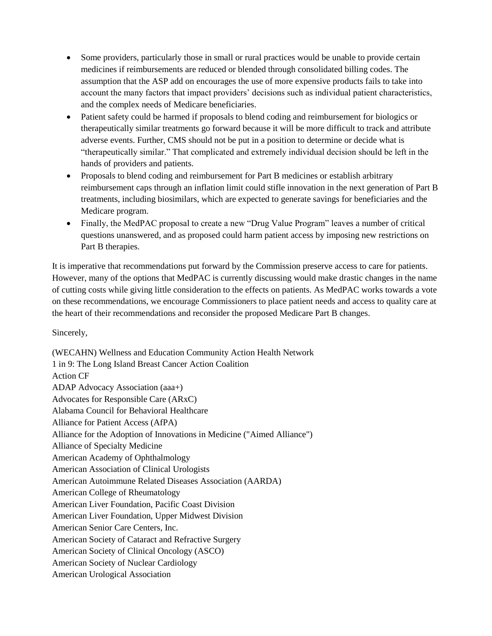- Some providers, particularly those in small or rural practices would be unable to provide certain medicines if reimbursements are reduced or blended through consolidated billing codes. The assumption that the ASP add on encourages the use of more expensive products fails to take into account the many factors that impact providers' decisions such as individual patient characteristics, and the complex needs of Medicare beneficiaries.
- Patient safety could be harmed if proposals to blend coding and reimbursement for biologics or therapeutically similar treatments go forward because it will be more difficult to track and attribute adverse events. Further, CMS should not be put in a position to determine or decide what is "therapeutically similar." That complicated and extremely individual decision should be left in the hands of providers and patients.
- Proposals to blend coding and reimbursement for Part B medicines or establish arbitrary reimbursement caps through an inflation limit could stifle innovation in the next generation of Part B treatments, including biosimilars, which are expected to generate savings for beneficiaries and the Medicare program.
- Finally, the MedPAC proposal to create a new "Drug Value Program" leaves a number of critical questions unanswered, and as proposed could harm patient access by imposing new restrictions on Part B therapies.

It is imperative that recommendations put forward by the Commission preserve access to care for patients. However, many of the options that MedPAC is currently discussing would make drastic changes in the name of cutting costs while giving little consideration to the effects on patients. As MedPAC works towards a vote on these recommendations, we encourage Commissioners to place patient needs and access to quality care at the heart of their recommendations and reconsider the proposed Medicare Part B changes.

Sincerely,

(WECAHN) Wellness and Education Community Action Health Network 1 in 9: The Long Island Breast Cancer Action Coalition Action CF ADAP Advocacy Association (aaa+) Advocates for Responsible Care (ARxC) Alabama Council for Behavioral Healthcare Alliance for Patient Access (AfPA) Alliance for the Adoption of Innovations in Medicine ("Aimed Alliance") Alliance of Specialty Medicine American Academy of Ophthalmology American Association of Clinical Urologists American Autoimmune Related Diseases Association (AARDA) American College of Rheumatology American Liver Foundation, Pacific Coast Division American Liver Foundation, Upper Midwest Division American Senior Care Centers, Inc. American Society of Cataract and Refractive Surgery American Society of Clinical Oncology (ASCO) American Society of Nuclear Cardiology American Urological Association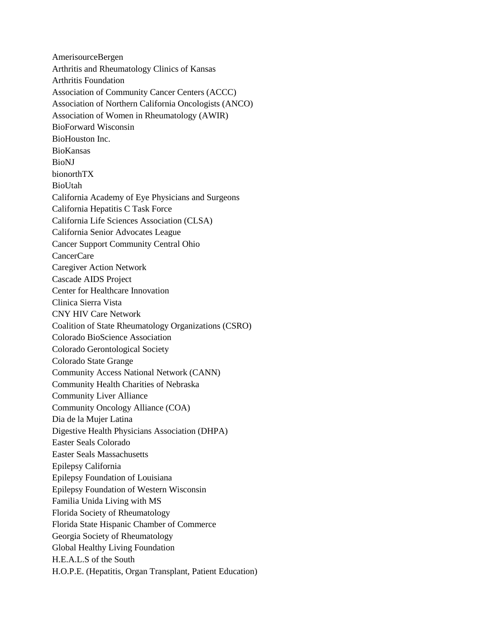AmerisourceBergen Arthritis and Rheumatology Clinics of Kansas Arthritis Foundation Association of Community Cancer Centers (ACCC) Association of Northern California Oncologists (ANCO) Association of Women in Rheumatology (AWIR) BioForward Wisconsin BioHouston Inc. BioKansas BioNJ bionorthTX BioUtah California Academy of Eye Physicians and Surgeons California Hepatitis C Task Force California Life Sciences Association (CLSA) California Senior Advocates League Cancer Support Community Central Ohio CancerCare Caregiver Action Network Cascade AIDS Project Center for Healthcare Innovation Clinica Sierra Vista CNY HIV Care Network Coalition of State Rheumatology Organizations (CSRO) Colorado BioScience Association Colorado Gerontological Society Colorado State Grange Community Access National Network (CANN) Community Health Charities of Nebraska Community Liver Alliance Community Oncology Alliance (COA) Dia de la Mujer Latina Digestive Health Physicians Association (DHPA) Easter Seals Colorado Easter Seals Massachusetts Epilepsy California Epilepsy Foundation of Louisiana Epilepsy Foundation of Western Wisconsin Familia Unida Living with MS Florida Society of Rheumatology Florida State Hispanic Chamber of Commerce Georgia Society of Rheumatology Global Healthy Living Foundation H.E.A.L.S of the South H.O.P.E. (Hepatitis, Organ Transplant, Patient Education)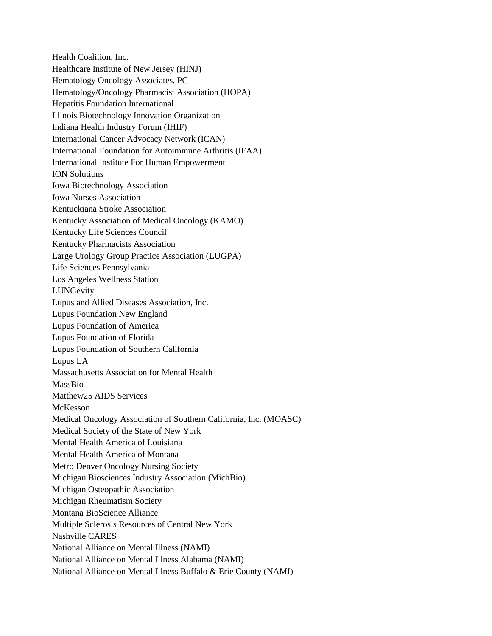Health Coalition, Inc. Healthcare Institute of New Jersey (HINJ) Hematology Oncology Associates, PC Hematology/Oncology Pharmacist Association (HOPA) Hepatitis Foundation International Illinois Biotechnology Innovation Organization Indiana Health Industry Forum (IHIF) International Cancer Advocacy Network (ICAN) International Foundation for Autoimmune Arthritis (IFAA) International Institute For Human Empowerment ION Solutions Iowa Biotechnology Association Iowa Nurses Association Kentuckiana Stroke Association Kentucky Association of Medical Oncology (KAMO) Kentucky Life Sciences Council Kentucky Pharmacists Association Large Urology Group Practice Association (LUGPA) Life Sciences Pennsylvania Los Angeles Wellness Station LUNGevity Lupus and Allied Diseases Association, Inc. Lupus Foundation New England Lupus Foundation of America Lupus Foundation of Florida Lupus Foundation of Southern California Lupus LA Massachusetts Association for Mental Health MassBio Matthew25 AIDS Services McKesson Medical Oncology Association of Southern California, Inc. (MOASC) Medical Society of the State of New York Mental Health America of Louisiana Mental Health America of Montana Metro Denver Oncology Nursing Society Michigan Biosciences Industry Association (MichBio) Michigan Osteopathic Association Michigan Rheumatism Society Montana BioScience Alliance Multiple Sclerosis Resources of Central New York Nashville CARES National Alliance on Mental Illness (NAMI) National Alliance on Mental Illness Alabama (NAMI) National Alliance on Mental Illness Buffalo & Erie County (NAMI)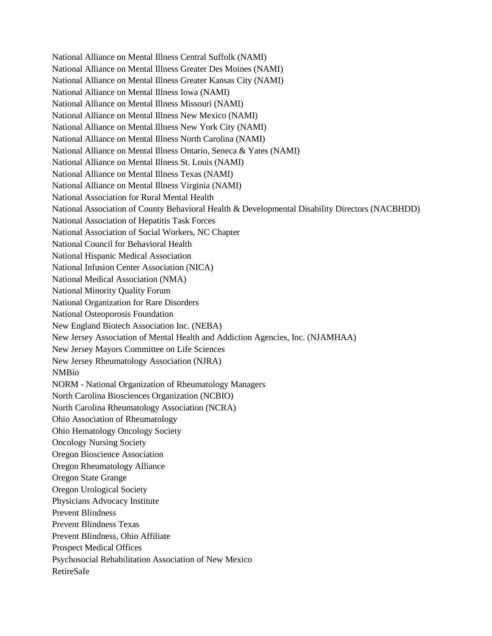National Alliance on Mental Illness Central Suffolk (NAMI) National Alliance on Mental Illness Greater Des Moines (NAMI) National Alliance on Mental Illness Greater Kansas City (NAMI) National Alliance on Mental Illness Iowa (NAMI) National Alliance on Mental Illness Missouri (NAMI) National Alliance on Mental Illness New Mexico (NAMI) National Alliance on Mental Illness New York City (NAMI) National Alliance on Mental Illness North Carolina (NAMI) National Alliance on Mental Illness Ontario, Seneca & Yates (NAMI) National Alliance on Mental Illness St. Louis (NAMI) National Alliance on Mental Illness Texas (NAMI) National Alliance on Mental Illness Virginia (NAMI) National Association for Rural Mental Health National Association of County Behavioral Health & Developmental Disability Directors (NACBHDD) National Association of Hepatitis Task Forces National Association of Social Workers, NC Chapter National Council for Behavioral Health National Hispanic Medical Association National Infusion Center Association (NICA) National Medical Association (NMA) National Minority Quality Forum National Organization for Rare Disorders National Osteoporosis Foundation New England Biotech Association Inc. (NEBA) New Jersey Association of Mental Health and Addiction Agencies, Inc. (NJAMHAA) New Jersey Mayors Committee on Life Sciences New Jersey Rheumatology Association (NJRA) NMBio NORM - National Organization of Rheumatology Managers North Carolina Biosciences Organization (NCBIO) North Carolina Rheumatology Association (NCRA) Ohio Association of Rheumatology Ohio Hematology Oncology Society Oncology Nursing Society Oregon Bioscience Association Oregon Rheumatology Alliance Oregon State Grange Oregon Urological Society Physicians Advocacy Institute Prevent Blindness Prevent Blindness Texas Prevent Blindness, Ohio Affiliate Prospect Medical Offices Psychosocial Rehabilitation Association of New Mexico RetireSafe